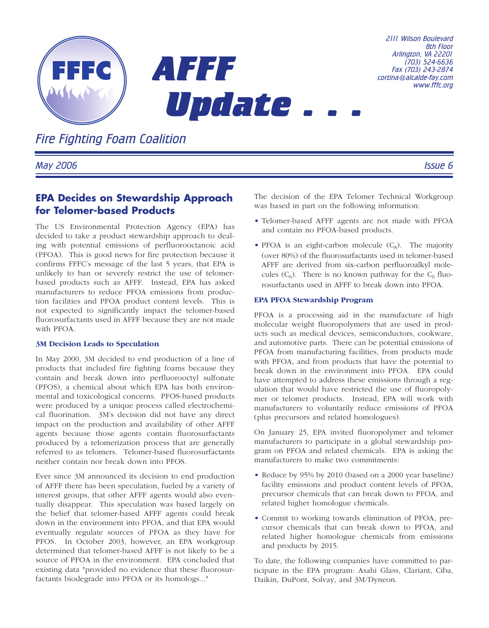

*Fire Fighting Foam Coalition*

*May 2006 Issue 6*

# **EPA Decides on Stewardship Approach for Telomer-based Products**

The US Environmental Protection Agency (EPA) has decided to take a product stewardship approach to dealing with potential emissions of perfluorooctanoic acid (PFOA). This is good news for fire protection because it confirms FFFC's message of the last 5 years, that EPA is unlikely to ban or severely restrict the use of telomerbased products such as AFFF. Instead, EPA has asked manufacturers to reduce PFOA emissions from production facilities and PFOA product content levels. This is not expected to significantly impact the telomer-based fluorosurfactants used in AFFF because they are not made with PFOA.

### **3M Decision Leads to Speculation**

In May 2000, 3M decided to end production of a line of products that included fire fighting foams because they contain and break down into perfluorooctyl sulfonate (PFOS), a chemical about which EPA has both environmental and toxicological concerns. PFOS-based products were produced by a unique process called electrochemical fluorination. 3M's decision did not have any direct impact on the production and availability of other AFFF agents because those agents contain fluorosurfactants produced by a telomerization process that are generally referred to as telomers. Telomer-based fluorosurfactants neither contain nor break down into PFOS.

Ever since 3M announced its decision to end production of AFFF there has been speculation, fueled by a variety of interest groups, that other AFFF agents would also eventually disappear. This speculation was based largely on the belief that telomer-based AFFF agents could break down in the environment into PFOA, and that EPA would eventually regulate sources of PFOA as they have for PFOS. In October 2003, however, an EPA workgroup determined that telomer-based AFFF is not likely to be a source of PFOA in the environment. EPA concluded that existing data "provided no evidence that these fluorosurfactants biodegrade into PFOA or its homologs..."

The decision of the EPA Telomer Technical Workgroup was based in part on the following information:

- Telomer-based AFFF agents are not made with PFOA and contain no PFOA-based products.
- PFOA is an eight-carbon molecule  $(C_8)$ . The majority (over 80%) of the fluorosurfactants used in telomer-based AFFF are derived from six-carbon perfluoroalkyl molecules  $(C_6)$ . There is no known pathway for the  $C_6$  fluorosurfactants used in AFFF to break down into PFOA.

#### **EPA PFOA Stewardship Program**

PFOA is a processing aid in the manufacture of high molecular weight fluoropolymers that are used in products such as medical devices, semiconductors, cookware, and automotive parts. There can be potential emissions of PFOA from manufacturing facilities, from products made with PFOA, and from products that have the potential to break down in the environment into PFOA. EPA could have attempted to address these emissions through a regulation that would have restricted the use of fluoropolymer or telomer products. Instead, EPA will work with manufacturers to voluntarily reduce emissions of PFOA (plus precursors and related homologues).

On January 25, EPA invited fluoropolymer and telomer manufacturers to participate in a global stewardship program on PFOA and related chemicals. EPA is asking the manufacturers to make two commitments:

- Reduce by 95% by 2010 (based on a 2000 year baseline) facility emissions and product content levels of PFOA, precursor chemicals that can break down to PFOA, and related higher homologue chemicals.
- Commit to working towards elimination of PFOA, precursor chemicals that can break down to PFOA, and related higher homologue chemicals from emissions and products by 2015.

To date, the following companies have committed to participate in the EPA program: Asahi Glass, Clariant, Ciba, Daikin, DuPont, Solvay, and 3M/Dyneon.